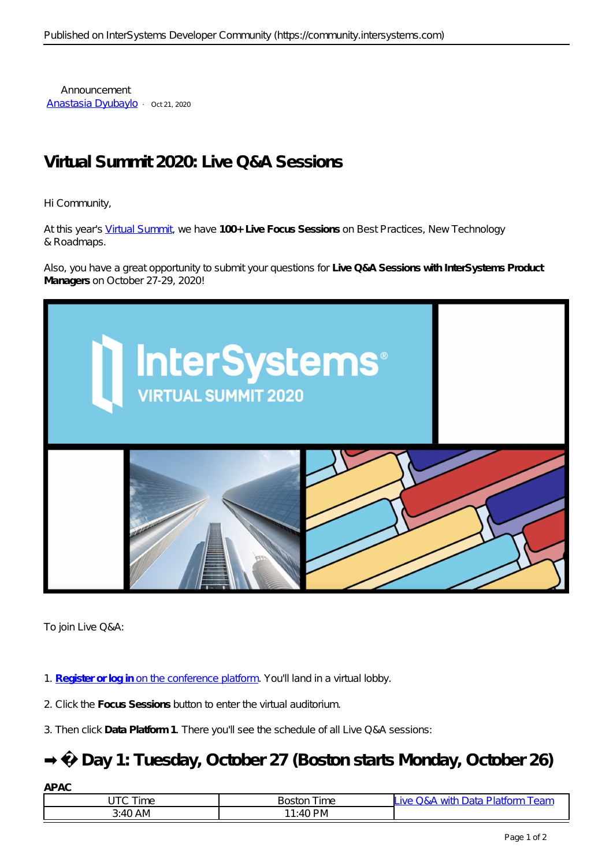Announcement [Anastasia Dyubaylo](https://community.intersystems.com/user/anastasia-dyubaylo) · oct21, 2020

# **Virtual Summit 2020: Live Q&A Sessions**

Hi Community,

At this year's [Virtual Summit](https://www.intersystems.com/virtual-summit-2020/), we have **100+ Live Focus Sessions** on Best Practices, New Technology & Roadmaps.

Also, you have a great opportunity to submit your questions for **Live Q&A Sessions with InterSystems Product Managers** on October 27-29, 2020!



To join Live Q&A:

- 1. **[Register or log in](https://intersystems.6connex.com/event/virtual-summit/login)** [on the conference platform.](https://intersystems.6connex.com/event/virtual-summit/login) *You'll land in a virtual lobby*.
- 2. Click the **Focus Sessions** button to enter the virtual auditorium.
- 3. Then click **Data Platform 1**. There you'll see the schedule of all Live Q&A sessions:

### **➡️ Day 1: Tuesday, October 27 (Boston starts Monday, October 26)**

| APAC     |                                |                                                         |
|----------|--------------------------------|---------------------------------------------------------|
| Time     | $^{\intercal}$ ime<br>Boston ' | $\overline{\mathsf{L}}$ ive Q&A with Data Platform Team |
| 3:40 A M | $11:40 \text{ PM}$             |                                                         |